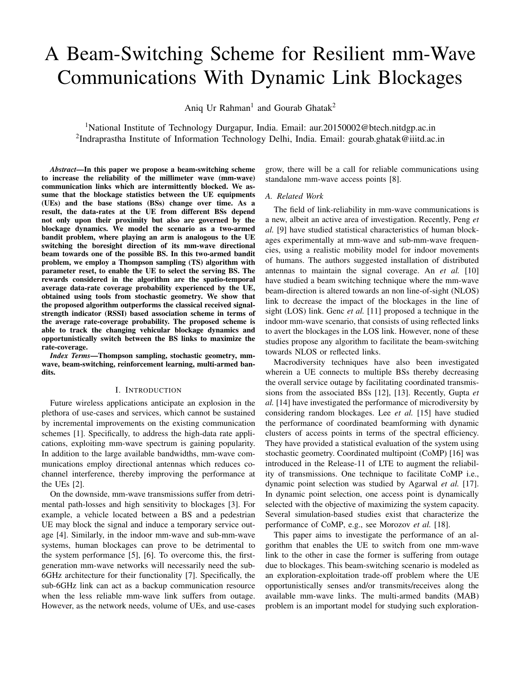# A Beam-Switching Scheme for Resilient mm-Wave Communications With Dynamic Link Blockages

Aniq Ur Rahman<sup>1</sup> and Gourab Ghatak<sup>2</sup>

<sup>1</sup>National Institute of Technology Durgapur, India. Email: aur.20150002@btech.nitdgp.ac.in <sup>2</sup>Indraprastha Institute of Information Technology Delhi, India. Email: gourab.ghatak@iiitd.ac.in

*Abstract*—In this paper we propose a beam-switching scheme to increase the reliability of the millimeter wave (mm-wave) communication links which are intermittently blocked. We assume that the blockage statistics between the UE equipments (UEs) and the base stations (BSs) change over time. As a result, the data-rates at the UE from different BSs depend not only upon their proximity but also are governed by the blockage dynamics. We model the scenario as a two-armed bandit problem, where playing an arm is analogous to the UE switching the boresight direction of its mm-wave directional beam towards one of the possible BS. In this two-armed bandit problem, we employ a Thompson sampling (TS) algorithm with parameter reset, to enable the UE to select the serving BS. The rewards considered in the algorithm are the spatio-temporal average data-rate coverage probability experienced by the UE, obtained using tools from stochastic geometry. We show that the proposed algorithm outperforms the classical received signalstrength indicator (RSSI) based association scheme in terms of the average rate-coverage probability. The proposed scheme is able to track the changing vehicular blockage dynamics and opportunistically switch between the BS links to maximize the rate-coverage.

*Index Terms*—Thompson sampling, stochastic geometry, mmwave, beam-switching, reinforcement learning, multi-armed bandits.

#### I. INTRODUCTION

Future wireless applications anticipate an explosion in the plethora of use-cases and services, which cannot be sustained by incremental improvements on the existing communication schemes [1]. Specifically, to address the high-data rate applications, exploiting mm-wave spectrum is gaining popularity. In addition to the large available bandwidths, mm-wave communications employ directional antennas which reduces cochannel interference, thereby improving the performance at the UEs [2].

On the downside, mm-wave transmissions suffer from detrimental path-losses and high sensitivity to blockages [3]. For example, a vehicle located between a BS and a pedestrian UE may block the signal and induce a temporary service outage [4]. Similarly, in the indoor mm-wave and sub-mm-wave systems, human blockages can prove to be detrimental to the system performance [5], [6]. To overcome this, the firstgeneration mm-wave networks will necessarily need the sub-6GHz architecture for their functionality [7]. Specifically, the sub-6GHz link can act as a backup communication resource when the less reliable mm-wave link suffers from outage. However, as the network needs, volume of UEs, and use-cases

grow, there will be a call for reliable communications using standalone mm-wave access points [8].

## *A. Related Work*

The field of link-reliability in mm-wave communications is a new, albeit an active area of investigation. Recently, Peng *et al.* [9] have studied statistical characteristics of human blockages experimentally at mm-wave and sub-mm-wave frequencies, using a realistic mobility model for indoor movements of humans. The authors suggested installation of distributed antennas to maintain the signal coverage. An *et al.* [10] have studied a beam switching technique where the mm-wave beam-direction is altered towards an non line-of-sight (NLOS) link to decrease the impact of the blockages in the line of sight (LOS) link. Genc *et al.* [11] proposed a technique in the indoor mm-wave scenario, that consists of using reflected links to avert the blockages in the LOS link. However, none of these studies propose any algorithm to facilitate the beam-switching towards NLOS or reflected links.

Macrodiversity techniques have also been investigated wherein a UE connects to multiple BSs thereby decreasing the overall service outage by facilitating coordinated transmissions from the associated BSs [12], [13]. Recently, Gupta *et al.* [14] have investigated the performance of microdiversity by considering random blockages. Lee *et al.* [15] have studied the performance of coordinated beamforming with dynamic clusters of access points in terms of the spectral efficiency. They have provided a statistical evaluation of the system using stochastic geometry. Coordinated multipoint (CoMP) [16] was introduced in the Release-11 of LTE to augment the reliability of transmissions. One technique to facilitate CoMP i.e., dynamic point selection was studied by Agarwal *et al.* [17]. In dynamic point selection, one access point is dynamically selected with the objective of maximizing the system capacity. Several simulation-based studies exist that characterize the performance of CoMP, e.g., see Morozov *et al.* [18].

This paper aims to investigate the performance of an algorithm that enables the UE to switch from one mm-wave link to the other in case the former is suffering from outage due to blockages. This beam-switching scenario is modeled as an exploration-exploitation trade-off problem where the UE opportunistically senses and/or transmits/receives along the available mm-wave links. The multi-armed bandits (MAB) problem is an important model for studying such exploration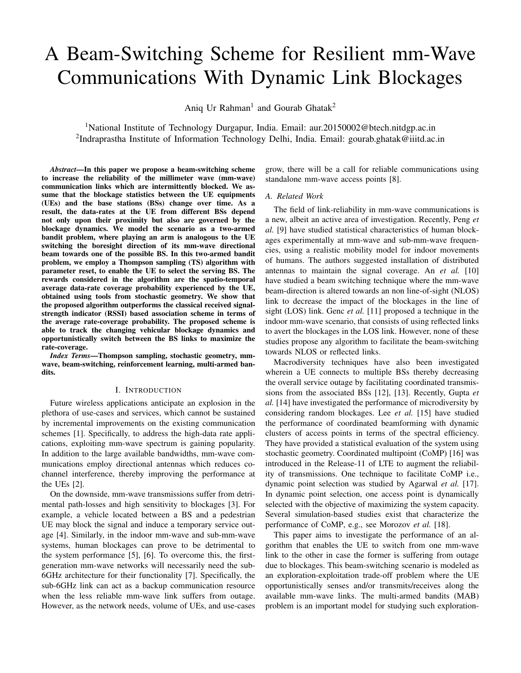exploitation trade-offs in reinforcement learning. Specifically, the scenario considered is an example of non-stationary MAB problem. Aurelien Garivier and Eric Moulines [19] considered a scenario where the distribution of the rewards remain constant over epochs and change at unknown time instants (i.e., abrupt changes). They analyzed the theoretical upper bounds of regret for the discounted upper confidence bound (UCB) and sliding window UCB. Another class of algorithms aimed to tackle the restless bandit problems are based on the classical TS approach. Gupta *et al.* [20], extending the idea to Bayesian methods, proposed Dynamic TS (Dynamic TS). O Besbes *et al.* [21], by assuming subtle structures in the variations of reward generating process, authors were successful in establishing bounds on minimal achievable regret against a dynamic oracle and developed a near optimal policy, REXP3. Hartland *et al.* [22] considered dynamic bandits with abrupt changes in the reward generation process, and proposed an algorithm called Adapt-EvE. In this paper we assume random (following a Poisson arrival process but unknown to the UE) points-of-change of the reward characteristics of the arms and study a TS based approach to facilitate beamswitching between the different BSs, in order to maximize the data-rate.

## *B. Contributions and Organization*

The contributions made in this paper is summarized as follows:

We characterize a mm-wave multi-connectivity framework installed in a UE, to facilitate switching of the mm-wave beam between two BSs. In particular, we model the beam-switching scheme as a MAB problem where the rewards are characterized as the rate coverage probability experienced by the UE. In order to take into account the random locations of the UE with respect to the BSs, we characterize the rewards as the spatio-temporal average of the rate coverage probability observed by a typical UE. This not only models the performance of a UE in different network configurations (e.g., different cities), but also in different locations within the same network.

In this MAB framework for beam-switching, we study a TS based approach to address the exploration-exploitation dilemma. In case the blockage processes of the links are stationary, we show that the TS approach manages to choose the best arm (i.e., associate to the BS which provides the better downlink rate).

Finally, we consider temporal dynamics in the blockages. In particular, the blockage probabilities of the links are assumed to change after an unknown and random timeperiod. For this case, we study a version of the TS scheme with parameter reset, where the effect of the previous experiences of rewards are eliminated. We show that the proposed algorithm actually tracks the dynamics blockage characteristics and as a result improves the resilience of the communication link.

The rest of the paper is organized as follows. In Section II we introduce the system model considered in this paper and outline the optimization objectives. In Section III we characterize the rewards of the MAB framework in terms of the rate coverage probability experienced by the UE. Then, in Section IV we present the TS based approach for facilitating beam-switching between the BSs. Numerical results to discuss the efficacy of our proposed scheme is given in Section V. Finally, the paper concludes in Section VI.

# II. SYSTEM MODEL AND OPTIMIZATION OBJECTIVES

#### *A. Network Geometry*

We consider a wireless network consisting of mm-wave BSs deployed to provide high-speed downlink connectivity and ad-hoc coverage to the UEs. The positions of the BSs are modeled as atoms of a Poisson point process (PPP) of intensity [23]. We evaluate the performance of the network from the perspective of a typical UE located at the origin.

# *B. Communication Policy*

We assume that during the association phase, the typical UE measures the downlink power in the control channel and associates with two BSs that provide the highest and the second highest downlink powers. This can take place, e.g., in the sub-6GHz band (see e.g., [7], [24]). Let us denote the two BSs by  $BS_1$  and  $BS_2$ , respectively. As in our model all the BSs transmit with the same power  $P$ , and the sub-GHz transmissions are relatively transparent to the blockages,  $BS_1$ and  $BS_2$  are consequently the two nearest BSs from the typical UE. Accordingly, the distance distributions of  $BS_1$  and  $BS_2$ are given by [25]:

$$
d_1 \t f_{d_1}(x) = 2 \t x \exp \t x^2 \t x 2 [0; 1) \t (1)
$$

$$
d_2
$$
  $f_{d_2}(y) = 2$  ( )<sup>2</sup> $y^3$  exp  $y^2$ ;  $y 2$  [ $d_1$ ; 1) (2)

After the association, the UE and the BSs switch to the mm-wave band and the data transmission commences, where, the UE receives downlink data service from either  $BS_1$  or  $BS<sub>2</sub>$ . Let us introduce the blockage model for the mm-wave links.

#### *C. Blockage and Propagation Model*

We assume that the mm-wave communication links suffer from independent temporary blockages due to vehicles or humans. The blockage in the  $i<sup>th</sup>$  channel,  $b<sub>i</sub>$  (where  $i \geq \lfloor \frac{1}{2} \rfloor$ ) is modelled as a Bernoulli process:  $b_i$   $B(p_i)$ . Here B is the Bernoulli distribution and  $p_i$  is the probability of blockage of the  $i<sup>th</sup>$  channel. In general, the temporal statistics of the blockages are relatively constant with respect to the duration of data-services of shorter duration, e.g., in case of mobile UE applications. Whereas for services such as fixed wireless access or mm-wave backhaul, the temporal variation of the blockages play a key role in the data-rate performance. In this paper, we analyze both the cases: static blockages, as well as dynamic blockages, where the parameters  $p_i$  change over time. For the latter case, we assume that the blockage characteristics change after an interval  $t_P$ , which follows a Poisson arrival process with parameter  $\tau$ , unknown to the UE.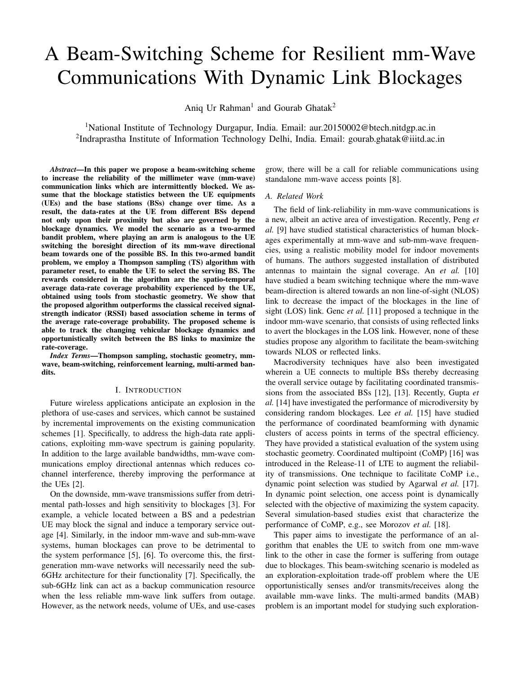

Fig. 1. System Illustration

We assume that the BSs are equipped with directional antennas of gain G. Let the path loss coefficient be given by K. In case the communication link between the transmitter and the receiver is in LOS state (i.e, devoid of blockages), the path loss exponent is given by  $\perp$ . On the other hand, in case the communication link is in NLOS state, the path loss exponent is given by  $N$ . Due to the low local scattering in mm-wave communications, we consider a Nakagami fading h, with parameter  $n_0$  and variance equal to 1 [26]. Thus, in case the transmitter and the receiver are located at a distance  $r$  from each other, the instantaneous received power is given by  $PGKhr^{-L}$  if the link is not blocked, and  $PGKhr$ otherwise. In order to avoid the singularity at the origin, we assume the path-loss model to be bounded [27]. As a result the received power averaged over fast-fading is given by:

$$
P_R(r;j) = PGK \min f \mid r \quad ig; \quad j \ge fL; Ng \tag{3}
$$

We model the beam-switching framework as a two-armed bandit problem where the rewards are the downlink rate coverage probabilities from the two associated BSs. The characterization of the rewards parameterized on the distance of the BSs is given in the next section. After describing our TS based beam-switching algorithm in Section IV, we will evaluate the expected value of the rewards accumulated using the distributions of distance of the BSs. The system model is illustrated in Fig. 1.

### III. CHARACTERIZATION OF REWARDS

In case the UE receives services from  $BS_1$ , the useful power is given by  $PGKh_1d_1 \triangleq \text{or } PGKh_1d_1 \triangleq \text{depending on}$ whether the mm-wave link to  $BS_1$  is in NLOS or LOS, respectively. Similarly, the useful power in case of service from  $BS_2$  is given by  $PGKh_2d_2 \triangleq P_GKh_2d_2 \triangleq P_GK$ , respectively. As a result, the corresponding signal to noise ratio (SNR) experienced at the UE is given by:

$$
S_i = \frac{PGKh_id_i^{-j}}{N_0} = \frac{P_R(d_i;j)h_i}{N_0};
$$
\n(4)

where  $i \nvert 2 \nvert f$  / 2g and  $j \nvert 2 \nvert f$  L; Ng. The SNR coverage probability at a threshold is defined as the probability that the UE receives an SNR of higher than . It is evaluated as:

$$
P_{Cij}(\cdot; d_i; j) = P(S_i) = P \frac{P_R(d_i; j)h_i}{N_0}
$$
  
= P h<sub>i</sub>  $\frac{N_0}{P_R(d_i; j)}$   
(a) (1)<sup>n+1</sup> n<sub>0</sub> exp  $\frac{n N_0 n_0(n_0!)^{\frac{1}{n_0}}}{P_R(d_i; j)}$  : (5)

Here step (a) follows as in [28]. Based on the SNR coverage probability, the rate coverage probability is at a threshold of  $r_0$  bps is defined as the probability that the UE experiences a downlink data-rate of  $r_0$  bps. Mathematically, it can be calculated as [28]:

$$
R_{j i}(r_0; d_i) = P_{C i} \ 2^{\frac{r_0}{B}} \ 1; d_i; j \tag{6}
$$

The formulation of the SNR coverage probability is thus parameterized on  $d_i$ s. After introducing the TS algorithm in the next section, we will average out the rate coverage probability by using the distance distributions of  $d_i$ s from (1) and (2).

### IV. TS BASED BEAM-SWITCHING

The aim of the work is to design beam-switching scheme that takes into consideration jointly the effect of the distance of the two BSs and also the vehicular blockage characteristics in both of these links. We convert this problem of explorationexploitation dilemma as a two-armed bandit problem [29] and define the reward  $R_i$  associated with the  $i<sup>th</sup>$  channel at time t as:

$$
R_i(d_i; t) = \begin{cases} R_{Li}(r_0; d_i); & \text{with probability } 1 & p_i(t) \\ R_{Ni}(r_0; d_i); & \text{with probability } p_i(t) \end{cases}
$$
 (7)

where  $R_{Li}$  and  $R_{Ni}$  are the LOS and NLOS rewards of the  $i<sup>th</sup>$  channel respectively given by (6). Recall that  $p_i(t)$  is the probability of blockage of the  $i<sup>th</sup>$  channel at time t. Thus, in case the boresight direction of the UE is towards the  $BS_1$ at time t, it receives a reward of  $R_{1}(r_0, d_1)$  or  $R_{N1}(r_0, d_1)$ with probabilities 1  $p_1(t)$  or  $p_1(t)$ , respectively.

Next, we describe the TS algorithm applied to this problem. The goal is to balance between exploiting (i.e., beamforming towards) the BS link that is *currently* known to maximize performance and investing to accumulate new information (e.g., exploring the reward/blockage conditions by connecting to the other BS link) that may improve future performance. In the general scenario, i.e., with dynamic link blockages, the reward distribution evolves over time for the two links. To keep up with this change, we reset our algorithm after a fixed interval of time  $t_W$ , which we refer to as reset duration.

The algorithm is described in Algorithm 1. The expected reward  $\mu$  of arm *i* is drawn from a beta distribution having shape parameters  $M_i/N_i$  (step 4). The shape parameters are initialized to zero, to serve as a uniform distribution which signifies a zero-knowledge situation (step 1). The algorithm chooses to play the arm  *with a higher value of expected*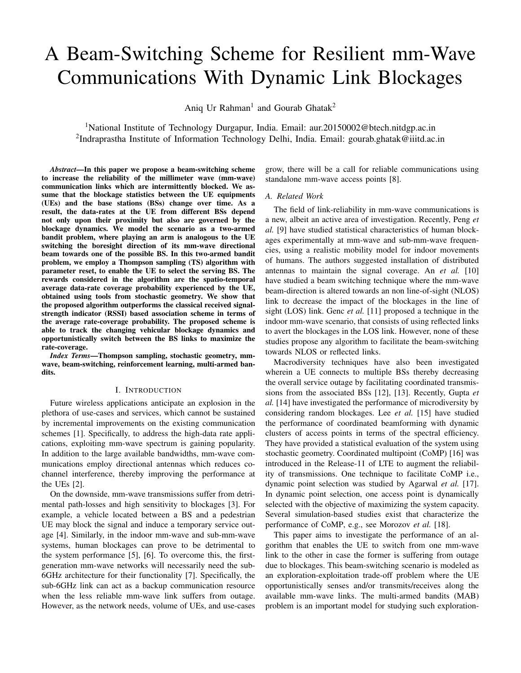reward (step 5). As we play the arms (step 6) and update the shape parameter values according to the rewards (i.e., ratecoverage), our choices become more and more tuned, towards the optimal choice (steps 7-8).

The link blockage characteristics might change over time based on various factors such as blockage density, signal strength etc. In this scenario, the algorithm will give poor results, being biased by the previous knowledge about a particular link. Therefore, we refresh the shape parameters to zero after an interval of time  $t_W$  (steps 10-12).

| Algorithm 1 TS with parameter reset. |  |  |  |  |  |
|--------------------------------------|--|--|--|--|--|
|--------------------------------------|--|--|--|--|--|

1:  $N_i$  0;  $M_i$  0; 8i 2 f1; 2g . initializing parameters 2:  $t = 0$ 3: while  $t < T$  do 4: *i*  $(M_i + 1/N_i \t M_i + 1)$  draw from beta dist. 5:  $j$  ij  $j = max(j)$  . choosing the better arm<br>6:  $R(t)$   $R_i(t)$  . playing the chosen arm 6:  $R(t)$   $R_i(t)$  . playing the chosen arm 7:  $N_i$   $N_i$  +  $R(t)$  . updating the beta distribution 8:  $M_i$   $M_i$  +  $R(t)$  . updating the beta distribution 9:  $t$   $t + 1$ 10: **if** (*t* mod  $t_W$ ) = 0 **then** . refreshing parameters 11:  $N_i$  0;  $M_i$  0; 8i 2 f1; 2g 12: end if 13: end while

### *A. Performance Metric: Average Rate Coverage Probability*

We define the average rate coverage probability (ARCP) at a time instant  *as the mean of rewards accumulated up to* time t for all possible locations of  $BS_1$  and  $BS_2$ . We denote the various ARCPs as BEST (Best choice), TS (TS), CH-1 (Channel 1), CH-2 (Channel 2) and RAND (Random choice). Mathematically they are defined as spatio-temporal averages as follows:  $#$ 

TS( ) = 
$$
E_{d_1:d_2}
$$
  $\frac{1}{t}$   $R_{TS}(d_1; d_2; t)$  (8a)

$$
BEST(\ ) = E_{d_1:d_2} \quad \frac{1}{t} \sum_{t=0}^{t} \max f R_1(d_1; t) / R_2(d_2; t) g
$$
\n(8b)

CH-1( ) = 
$$
E_{d_1} \xrightarrow[t=0]{}
$$
  $R_1(d_1; t)$  (8c)

CH-2( ) = 
$$
E_{d_2}
$$
  $\frac{1}{t} \times \int_{t=0}^{t} R_2(d_2; t)$  (8d)

RAND( ) = 
$$
E_{d_1; d_2}
$$
  $\frac{1}{t} \times UFR_1(d_1; t); R_2(d_2; t)g$  (8e)

where  $R(t)$  is reward at time t using the TS approach. The BEST strategy chooses the better arm in hindsight. Whereas, the RAND strategy chooses one arm at random, i.e.,  $Ufa$ ; bg implies that  $a$  and  $b$  are equi-probable choices. The spatial averages are taken with respect to the distance distributions as given by  $(1)$  and  $(2)$ .

# V. NUMERICAL RESULTS AND DISCUSSION

In this section, we discuss the salient features of the proposed beam-switching algorithm based on numerical simulations. The list and the values of the parameters are shown in Table I. The path loss exponents are taken to be 2 for LOS and 4 for NLOS regimes of propagation, respectively. The pathloss coefficient  $K$  and the noise-density are obtained from the 3GPP specifications [30].

Table I: Simulation Parameters

| Symbol         | Description               | Value                               |
|----------------|---------------------------|-------------------------------------|
| G              | Antenna Gain              | $10 \text{ dB}$                     |
| P              | <b>Transmitter Power</b>  | 0 dB                                |
| $\perp$        | Path Loss exponent (LOS)  | $\mathfrak{D}$                      |
| $\overline{N}$ | Path Loss exponent (NLOS) | 4                                   |
| К              | Path Loss Coefficient     | $\mathcal{P}$<br>carrier wavelength |
|                |                           | $174$ dBm/Hz                        |
| $N_0$          | Noise density             | + 10 $log_{10}(B)$                  |
|                |                           | $+10dB$                             |
| B              | Bandwidth                 | 1 GHz                               |
| r <sub>0</sub> | Data rate                 | 1 Gbps                              |

### *A. Static Blockages*

First, we study the performance of our algorithm when the blockage characteristics of the channels are temporally static. In Fig. 2 we plot the performance of the TS based beamswitching and the other baseline schemes described in (8). Particularly, we investigate two cases: (a)  $BS_1$  has a lower blockage probability than  $BS_2$ , and (b)  $BS_1$  has a higher blockage probability than  $BS_2$ . In both cases, we observe that the TS based beam-switching scheme selects the better arm in terms of ACRP at the end of the decision interval. Indeed, the TS algorithm is able to jointly take into account the distance as well as the blockage characteristics of the channels for BS selection. More interestingly, in the case (b) we see that due to higher probability of blockage in the mm-wave channel to  $BS_1$ , the overall ACRP of  $BS_1$  is significantly lower (20% less as compared to  $BS_2$ ). In case of an RSSI based association scheme, with probability 0.6 (i.e.,  $1 - p_1$ ), the UE would have selected the  $BS_1$  for mm-wave service which could lead to a dramatic degradation in the performance. Moreover, the proposed TS based BS selection gives a more accurate idea of the radio environment as compared to schemes where the BS association takes place initially in the sub-6GHz band and then the UE connects to mm-wave band in the selected BS (e.g., see [7]). This is precisely because in the later scheme the UE would likely associate to  $BS_1$  due to its close proximity to the UE.

#### *B. Impact of Blockage Dynamics*

Next, we analyze the performance of the proposed scheme when the blockage characteristics of the channels are temporally varying. This is particularly important for application such as fixed wireless access or mm-wave backhaul where the